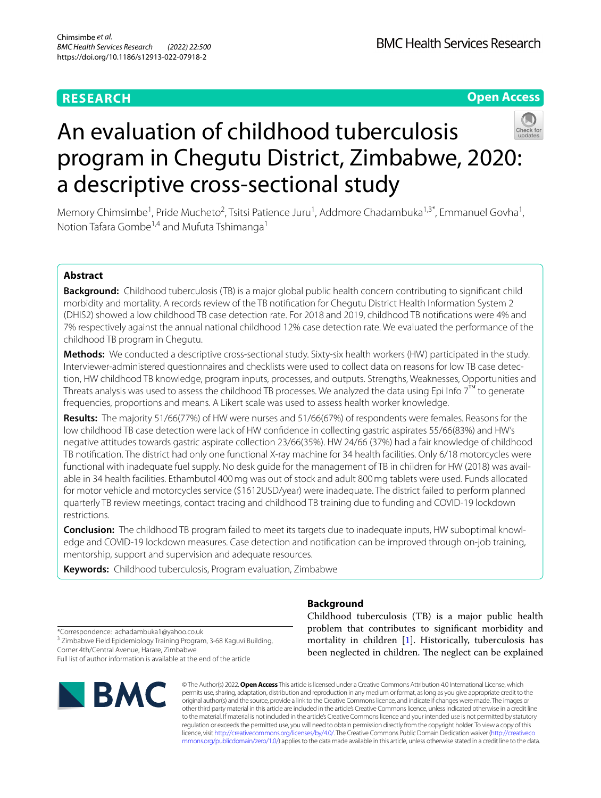# **RESEARCH**

**BMC Health Services Research** 

**Open Access**

# An evaluation of childhood tuberculosis program in Chegutu District, Zimbabwe, 2020: a descriptive cross-sectional study



Memory Chimsimbe<sup>1</sup>, Pride Mucheto<sup>2</sup>, Tsitsi Patience Juru<sup>1</sup>, Addmore Chadambuka<sup>1,3\*</sup>, Emmanuel Govha<sup>1</sup>, Notion Tafara Gombe<sup>1,4</sup> and Mufuta Tshimanga<sup>1</sup>

# **Abstract**

**Background:** Childhood tuberculosis (TB) is a major global public health concern contributing to signifcant child morbidity and mortality. A records review of the TB notifcation for Chegutu District Health Information System 2 (DHIS2) showed a low childhood TB case detection rate. For 2018 and 2019, childhood TB notifcations were 4% and 7% respectively against the annual national childhood 12% case detection rate. We evaluated the performance of the childhood TB program in Chegutu.

**Methods:** We conducted a descriptive cross-sectional study. Sixty-six health workers (HW) participated in the study. Interviewer-administered questionnaires and checklists were used to collect data on reasons for low TB case detection, HW childhood TB knowledge, program inputs, processes, and outputs. Strengths, Weaknesses, Opportunities and Threats analysis was used to assess the childhood TB processes. We analyzed the data using Epi Info  $7<sup>TM</sup>$  to generate frequencies, proportions and means. A Likert scale was used to assess health worker knowledge.

**Results:** The majority 51/66(77%) of HW were nurses and 51/66(67%) of respondents were females. Reasons for the low childhood TB case detection were lack of HW confdence in collecting gastric aspirates 55/66(83%) and HW's negative attitudes towards gastric aspirate collection 23/66(35%). HW 24/66 (37%) had a fair knowledge of childhood TB notifcation. The district had only one functional X-ray machine for 34 health facilities. Only 6/18 motorcycles were functional with inadequate fuel supply. No desk guide for the management of TB in children for HW (2018) was available in 34 health facilities. Ethambutol 400mg was out of stock and adult 800mg tablets were used. Funds allocated for motor vehicle and motorcycles service (\$1612USD/year) were inadequate. The district failed to perform planned quarterly TB review meetings, contact tracing and childhood TB training due to funding and COVID-19 lockdown restrictions.

**Conclusion:** The childhood TB program failed to meet its targets due to inadequate inputs, HW suboptimal knowledge and COVID-19 lockdown measures. Case detection and notifcation can be improved through on-job training, mentorship, support and supervision and adequate resources.

**Keywords:** Childhood tuberculosis, Program evaluation, Zimbabwe

# **Background**

Childhood tuberculosis (TB) is a major public health problem that contributes to signifcant morbidity and mortality in children [[1\]](#page-8-0). Historically, tuberculosis has been neglected in children. The neglect can be explained

\*Correspondence: achadambuka1@yahoo.co.uk <sup>3</sup> Zimbabwe Field Epidemiology Training Program, 3-68 Kaguvi Building,

Corner 4th/Central Avenue, Harare, Zimbabwe Full list of author information is available at the end of the article



© The Author(s) 2022. **Open Access** This article is licensed under a Creative Commons Attribution 4.0 International License, which permits use, sharing, adaptation, distribution and reproduction in any medium or format, as long as you give appropriate credit to the original author(s) and the source, provide a link to the Creative Commons licence, and indicate if changes were made. The images or other third party material in this article are included in the article's Creative Commons licence, unless indicated otherwise in a credit line to the material. If material is not included in the article's Creative Commons licence and your intended use is not permitted by statutory regulation or exceeds the permitted use, you will need to obtain permission directly from the copyright holder. To view a copy of this licence, visit [http://creativecommons.org/licenses/by/4.0/.](http://creativecommons.org/licenses/by/4.0/) The Creative Commons Public Domain Dedication waiver ([http://creativeco](http://creativecommons.org/publicdomain/zero/1.0/) [mmons.org/publicdomain/zero/1.0/](http://creativecommons.org/publicdomain/zero/1.0/)) applies to the data made available in this article, unless otherwise stated in a credit line to the data.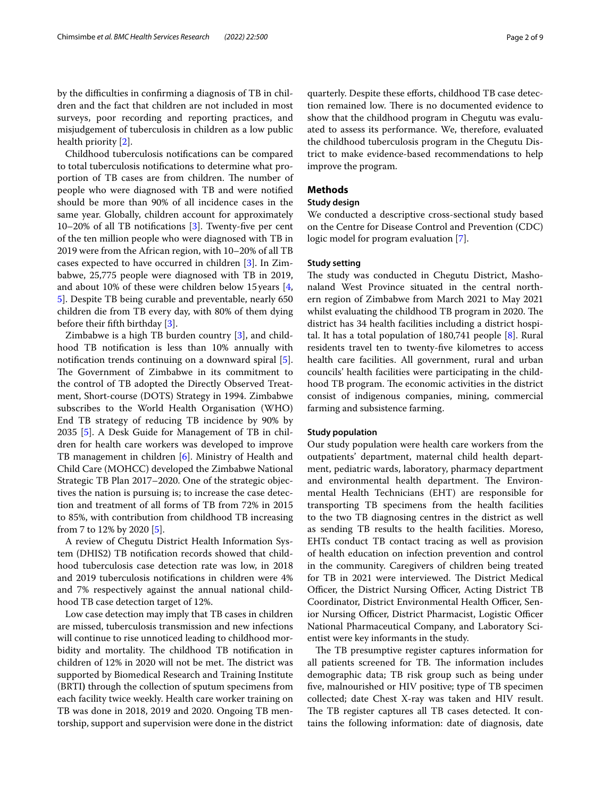by the difculties in confrming a diagnosis of TB in children and the fact that children are not included in most surveys, poor recording and reporting practices, and misjudgement of tuberculosis in children as a low public health priority [\[2](#page-8-1)].

Childhood tuberculosis notifcations can be compared to total tuberculosis notifcations to determine what proportion of TB cases are from children. The number of people who were diagnosed with TB and were notifed should be more than 90% of all incidence cases in the same year. Globally, children account for approximately 10–20% of all TB notifcations [[3](#page-8-2)]. Twenty-fve per cent of the ten million people who were diagnosed with TB in 2019 were from the African region, with 10–20% of all TB cases expected to have occurred in children [[3](#page-8-2)]. In Zimbabwe, 25,775 people were diagnosed with TB in 2019, and about 10% of these were children below 15years [\[4](#page-8-3), [5\]](#page-8-4). Despite TB being curable and preventable, nearly 650 children die from TB every day, with 80% of them dying before their ffth birthday [[3\]](#page-8-2).

Zimbabwe is a high TB burden country [\[3](#page-8-2)], and childhood TB notifcation is less than 10% annually with notifcation trends continuing on a downward spiral [\[5](#page-8-4)]. The Government of Zimbabwe in its commitment to the control of TB adopted the Directly Observed Treatment, Short-course (DOTS) Strategy in 1994. Zimbabwe subscribes to the World Health Organisation (WHO) End TB strategy of reducing TB incidence by 90% by 2035 [\[5](#page-8-4)]. A Desk Guide for Management of TB in children for health care workers was developed to improve TB management in children [[6](#page-8-5)]. Ministry of Health and Child Care (MOHCC) developed the Zimbabwe National Strategic TB Plan 2017–2020. One of the strategic objectives the nation is pursuing is; to increase the case detection and treatment of all forms of TB from 72% in 2015 to 85%, with contribution from childhood TB increasing from 7 to 12% by 2020 [\[5\]](#page-8-4).

A review of Chegutu District Health Information System (DHIS2) TB notifcation records showed that childhood tuberculosis case detection rate was low, in 2018 and 2019 tuberculosis notifcations in children were 4% and 7% respectively against the annual national childhood TB case detection target of 12%.

Low case detection may imply that TB cases in children are missed, tuberculosis transmission and new infections will continue to rise unnoticed leading to childhood morbidity and mortality. The childhood TB notification in children of 12% in 2020 will not be met. The district was supported by Biomedical Research and Training Institute (BRTI**)** through the collection of sputum specimens from each facility twice weekly. Health care worker training on TB was done in 2018, 2019 and 2020. Ongoing TB mentorship, support and supervision were done in the district quarterly. Despite these eforts, childhood TB case detection remained low. There is no documented evidence to show that the childhood program in Chegutu was evaluated to assess its performance. We, therefore, evaluated the childhood tuberculosis program in the Chegutu District to make evidence-based recommendations to help improve the program.

## **Methods**

## **Study design**

We conducted a descriptive cross-sectional study based on the Centre for Disease Control and Prevention (CDC) logic model for program evaluation [[7](#page-8-6)].

## **Study setting**

The study was conducted in Chegutu District, Mashonaland West Province situated in the central northern region of Zimbabwe from March 2021 to May 2021 whilst evaluating the childhood TB program in 2020. The district has 34 health facilities including a district hospital. It has a total population of 180,741 people [\[8](#page-8-7)]. Rural residents travel ten to twenty-fve kilometres to access health care facilities. All government, rural and urban councils' health facilities were participating in the childhood TB program. The economic activities in the district consist of indigenous companies, mining, commercial farming and subsistence farming.

#### **Study population**

Our study population were health care workers from the outpatients' department, maternal child health department, pediatric wards, laboratory, pharmacy department and environmental health department. The Environmental Health Technicians (EHT) are responsible for transporting TB specimens from the health facilities to the two TB diagnosing centres in the district as well as sending TB results to the health facilities. Moreso, EHTs conduct TB contact tracing as well as provision of health education on infection prevention and control in the community. Caregivers of children being treated for TB in 2021 were interviewed. The District Medical Officer, the District Nursing Officer, Acting District TB Coordinator, District Environmental Health Officer, Senior Nursing Officer, District Pharmacist, Logistic Officer National Pharmaceutical Company, and Laboratory Scientist were key informants in the study.

The TB presumptive register captures information for all patients screened for TB. The information includes demographic data; TB risk group such as being under fve, malnourished or HIV positive; type of TB specimen collected; date Chest X-ray was taken and HIV result. The TB register captures all TB cases detected. It contains the following information: date of diagnosis, date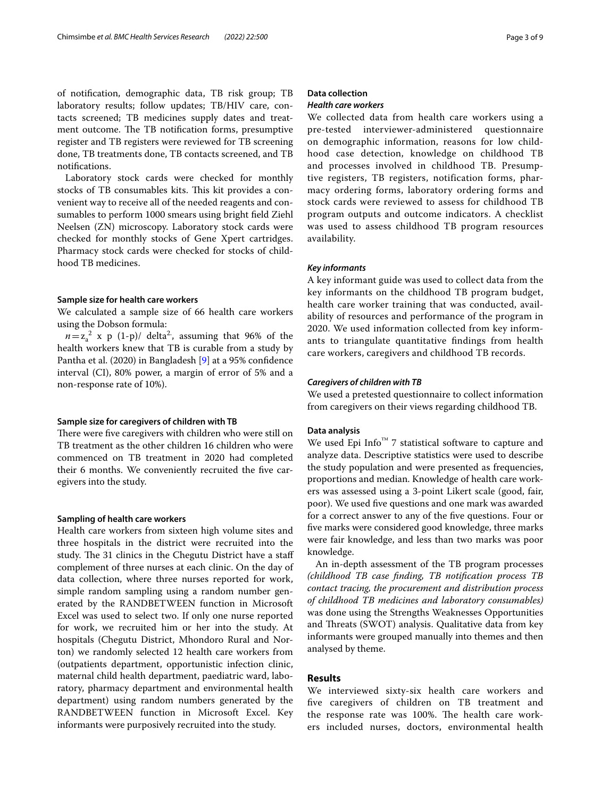of notifcation, demographic data, TB risk group; TB laboratory results; follow updates; TB/HIV care, contacts screened; TB medicines supply dates and treatment outcome. The TB notification forms, presumptive register and TB registers were reviewed for TB screening done, TB treatments done, TB contacts screened, and TB notifcations.

Laboratory stock cards were checked for monthly stocks of TB consumables kits. This kit provides a convenient way to receive all of the needed reagents and consumables to perform 1000 smears using bright feld Ziehl Neelsen (ZN) microscopy. Laboratory stock cards were checked for monthly stocks of Gene Xpert cartridges. Pharmacy stock cards were checked for stocks of childhood TB medicines.

#### **Sample size for health care workers**

We calculated a sample size of 66 health care workers using the Dobson formula:

 $n = z_a^2$  x p (1-p)/ delta<sup>2</sup>, assuming that 96% of the health workers knew that TB is curable from a study by Pantha et al. (2020) in Bangladesh [\[9\]](#page-8-8) at a 95% confdence interval (CI), 80% power, a margin of error of 5% and a non-response rate of 10%).

#### **Sample size for caregivers of children with TB**

There were five caregivers with children who were still on TB treatment as the other children 16 children who were commenced on TB treatment in 2020 had completed their 6 months. We conveniently recruited the fve caregivers into the study.

#### **Sampling of health care workers**

Health care workers from sixteen high volume sites and three hospitals in the district were recruited into the study. The 31 clinics in the Chegutu District have a staff complement of three nurses at each clinic. On the day of data collection, where three nurses reported for work, simple random sampling using a random number generated by the RANDBETWEEN function in Microsoft Excel was used to select two. If only one nurse reported for work, we recruited him or her into the study. At hospitals (Chegutu District, Mhondoro Rural and Norton) we randomly selected 12 health care workers from (outpatients department, opportunistic infection clinic, maternal child health department, paediatric ward, laboratory, pharmacy department and environmental health department) using random numbers generated by the RANDBETWEEN function in Microsoft Excel. Key informants were purposively recruited into the study.

## **Data collection**

## *Health care workers*

We collected data from health care workers using a pre-tested interviewer-administered questionnaire on demographic information, reasons for low childhood case detection, knowledge on childhood TB and processes involved in childhood TB. Presumptive registers, TB registers, notification forms, pharmacy ordering forms, laboratory ordering forms and stock cards were reviewed to assess for childhood TB program outputs and outcome indicators. A checklist was used to assess childhood TB program resources availability.

#### *Key informants*

A key informant guide was used to collect data from the key informants on the childhood TB program budget, health care worker training that was conducted, availability of resources and performance of the program in 2020. We used information collected from key informants to triangulate quantitative fndings from health care workers, caregivers and childhood TB records.

#### *Caregivers of children with TB*

We used a pretested questionnaire to collect information from caregivers on their views regarding childhood TB.

## **Data analysis**

We used Epi Info™ 7 statistical software to capture and analyze data. Descriptive statistics were used to describe the study population and were presented as frequencies, proportions and median. Knowledge of health care workers was assessed using a 3-point Likert scale (good, fair, poor). We used fve questions and one mark was awarded for a correct answer to any of the fve questions. Four or fve marks were considered good knowledge, three marks were fair knowledge, and less than two marks was poor knowledge.

An in-depth assessment of the TB program processes *(childhood TB case fnding, TB notifcation process TB contact tracing, the procurement and distribution process of childhood TB medicines and laboratory consumables)* was done using the Strengths Weaknesses Opportunities and Threats (SWOT) analysis. Qualitative data from key informants were grouped manually into themes and then analysed by theme.

## **Results**

We interviewed sixty-six health care workers and fve caregivers of children on TB treatment and the response rate was 100%. The health care workers included nurses, doctors, environmental health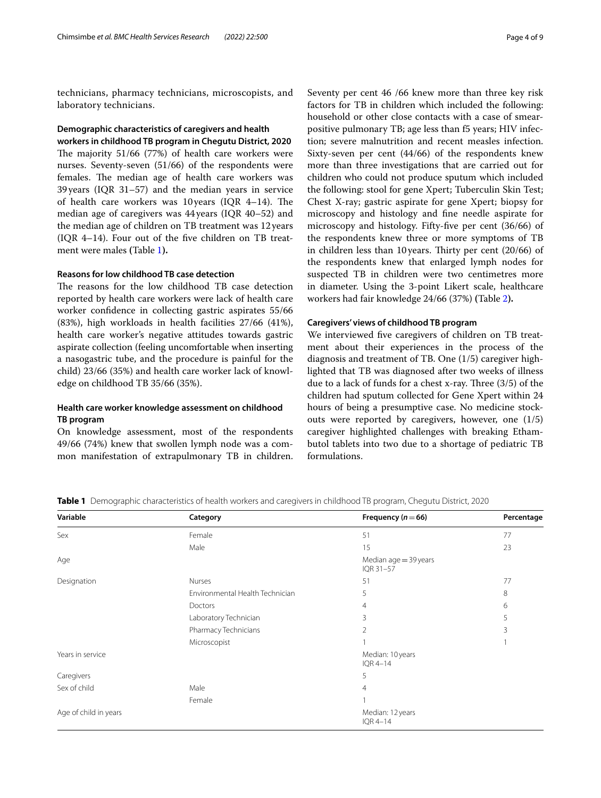technicians, pharmacy technicians, microscopists, and laboratory technicians.

## **Demographic characteristics of caregivers and health workers in childhood TB program in Chegutu District, 2020**

The majority  $51/66$  (77%) of health care workers were nurses. Seventy-seven (51/66) of the respondents were females. The median age of health care workers was 39years (IQR 31–57) and the median years in service of health care workers was 10 years (IQR 4-14). The median age of caregivers was 44years (IQR 40–52) and the median age of children on TB treatment was 12years (IQR 4–14). Four out of the fve children on TB treatment were males **(**Table [1](#page-3-0)**).**

## **Reasons for low childhood TB case detection**

The reasons for the low childhood TB case detection reported by health care workers were lack of health care worker confdence in collecting gastric aspirates 55/66 (83%), high workloads in health facilities 27/66 (41%), health care worker's negative attitudes towards gastric aspirate collection (feeling uncomfortable when inserting a nasogastric tube, and the procedure is painful for the child) 23/66 (35%) and health care worker lack of knowledge on childhood TB 35/66 (35%).

## **Health care worker knowledge assessment on childhood TB program**

On knowledge assessment, most of the respondents 49/66 (74%) knew that swollen lymph node was a common manifestation of extrapulmonary TB in children. Seventy per cent 46 /66 knew more than three key risk factors for TB in children which included the following: household or other close contacts with a case of smearpositive pulmonary TB; age less than f5 years; HIV infection; severe malnutrition and recent measles infection. Sixty-seven per cent (44/66) of the respondents knew more than three investigations that are carried out for children who could not produce sputum which included the following: stool for gene Xpert; Tuberculin Skin Test; Chest X-ray; gastric aspirate for gene Xpert; biopsy for microscopy and histology and fne needle aspirate for microscopy and histology. Fifty-fve per cent (36/66) of the respondents knew three or more symptoms of TB in children less than 10 years. Thirty per cent  $(20/66)$  of the respondents knew that enlarged lymph nodes for suspected TB in children were two centimetres more in diameter. Using the 3-point Likert scale, healthcare workers had fair knowledge 24/66 (37%) **(**Table [2](#page-4-0)**).**

#### **Caregivers' views of childhood TB program**

We interviewed fve caregivers of children on TB treatment about their experiences in the process of the diagnosis and treatment of TB. One (1/5) caregiver highlighted that TB was diagnosed after two weeks of illness due to a lack of funds for a chest x-ray. Three  $(3/5)$  of the children had sputum collected for Gene Xpert within 24 hours of being a presumptive case. No medicine stockouts were reported by caregivers, however, one (1/5) caregiver highlighted challenges with breaking Ethambutol tablets into two due to a shortage of pediatric TB formulations.

**Variable Category Frequency (***n*=**66) Percentage** Sex Female 51 77 Male  $\sim$  23 Age and the state of the state of the state of the state of the Median age = 39 years and the Median age = 39 years IQR 31–57 Designation Nurses 51 77 Environmental Health Technician 5 8  $D$ octors 6 Laboratory Technician 3 5 Pharmacy Technicians 3 3 Microscopist 1 and 1 1 and 1 1 and 1 1 and 1 1 and 1 1 and 1 1 and 1 1 and 1 1 and 1 1 and 1 1 and 1 1 and 1 1  $\frac{1}{2}$  1 and 1 and 1 and 1 and 1 and 1 and 1 and 1 and 1 and 1 and 1 and 1 and 1 and 1 and 1 and 1 and 1 and Years in service **Median:** 10 years **Median:** 10 years IQR 4–14 Caregivers 5 Sex of child 4 and 4 and 4 and 4 and 4 and 4 and 4 and 4 and 4 and 4 and 4 and 4 and 4 and 4 and 4 and 4 and 4 and 4 and 4 and 4 and 4 and 4 and 4 and 4 and 4 and 4 and 4 and 4 and 4 and 4 and 4 and 4 and 4 and 4 and 4 and Female Age of child in years Median: 12 years Median: 12 years Median: 12 years Median: 12 years Median: 12 years Median: 12 years IQR 4–14

<span id="page-3-0"></span>**Table 1** Demographic characteristics of health workers and caregivers in childhood TB program, Chegutu District, 2020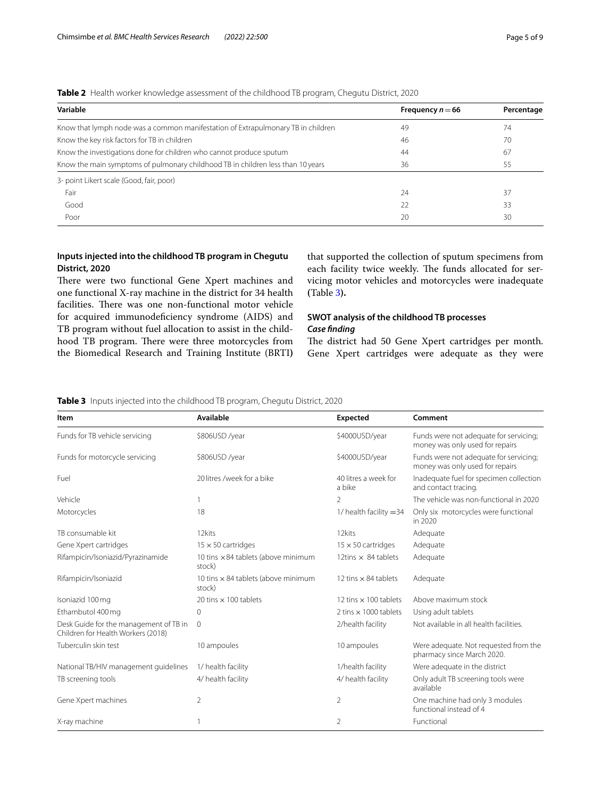| Variable                                                                         | Frequency $n = 66$ | Percentage<br>74 |  |
|----------------------------------------------------------------------------------|--------------------|------------------|--|
| Know that lymph node was a common manifestation of Extrapulmonary TB in children | 49                 |                  |  |
| Know the key risk factors for TB in children                                     | 46                 | 70               |  |
| Know the investigations done for children who cannot produce sputum              | 44                 | 67               |  |
| Know the main symptoms of pulmonary childhood TB in children less than 10 years  | 36                 | 55               |  |
| 3- point Likert scale (Good, fair, poor)                                         |                    |                  |  |
| Fair                                                                             | 24                 | 37               |  |
| Good                                                                             | 22                 | 33               |  |
| Poor                                                                             | 20                 | 30               |  |

<span id="page-4-0"></span>**Table 2** Health worker knowledge assessment of the childhood TB program, Chegutu District, 2020

## **Inputs injected into the childhood TB program in Chegutu District, 2020**

There were two functional Gene Xpert machines and one functional X-ray machine in the district for 34 health facilities. There was one non-functional motor vehicle for acquired immunodeficiency syndrome (AIDS) and TB program without fuel allocation to assist in the childhood TB program. There were three motorcycles from the Biomedical Research and Training Institute (BRTI**)** that supported the collection of sputum specimens from each facility twice weekly. The funds allocated for servicing motor vehicles and motorcycles were inadequate **(**Table [3](#page-4-1)**).**

## **SWOT analysis of the childhood TB processes** *Case fnding*

The district had 50 Gene Xpert cartridges per month. Gene Xpert cartridges were adequate as they were

## <span id="page-4-1"></span>**Table 3** Inputs injected into the childhood TB program, Chegutu District, 2020

| Item                                                                         | Available                                            | <b>Expected</b>                | Comment                                                                   |
|------------------------------------------------------------------------------|------------------------------------------------------|--------------------------------|---------------------------------------------------------------------------|
| Funds for TB vehicle servicing                                               | \$806USD /year                                       | \$4000USD/year                 | Funds were not adequate for servicing;<br>money was only used for repairs |
| Funds for motorcycle servicing                                               | \$806USD /year                                       | \$4000USD/year                 | Funds were not adequate for servicing;<br>money was only used for repairs |
| Fuel                                                                         | 20 litres /week for a bike                           | 40 litres a week for<br>a bike | Inadequate fuel for specimen collection<br>and contact tracing.           |
| Vehicle                                                                      |                                                      | $\mathcal{P}$                  | The vehicle was non-functional in 2020                                    |
| Motorcycles                                                                  | 18                                                   | $1/$ health facility $=$ 34    | Only six motorcycles were functional<br>in 2020                           |
| TB consumable kit                                                            | 12kits                                               | 12kits                         | Adequate                                                                  |
| Gene Xpert cartridges                                                        | $15 \times 50$ cartridges                            | $15 \times 50$ cartridges      | Adequate                                                                  |
| Rifampicin/Isoniazid/Pyrazinamide                                            | 10 tins $\times$ 84 tablets (above minimum<br>stock) | 12tins $\times$ 84 tablets     | Adequate                                                                  |
| Rifampicin/Isoniazid                                                         | 10 tins $\times$ 84 tablets (above minimum<br>stock) | 12 tins $\times$ 84 tablets    | Adequate                                                                  |
| Isoniazid 100 mg                                                             | 20 tins $\times$ 100 tablets                         | 12 tins $\times$ 100 tablets   | Above maximum stock                                                       |
| Ethambutol 400 mg                                                            | $\Omega$                                             | 2 tins $\times$ 1000 tablets   | Using adult tablets                                                       |
| Desk Guide for the management of TB in<br>Children for Health Workers (2018) | $\overline{0}$                                       | 2/health facility              | Not available in all health facilities.                                   |
| Tuberculin skin test                                                         | 10 ampoules                                          | 10 ampoules                    | Were adequate. Not requested from the<br>pharmacy since March 2020.       |
| National TB/HIV management quidelines                                        | 1/ health facility                                   | 1/health facility              | Were adequate in the district                                             |
| TB screening tools                                                           | 4/ health facility                                   | 4/ health facility             | Only adult TB screening tools were<br>available                           |
| Gene Xpert machines                                                          | $\overline{2}$                                       | $\overline{2}$                 | One machine had only 3 modules<br>functional instead of 4                 |
| X-ray machine                                                                |                                                      | $\overline{2}$                 | Functional                                                                |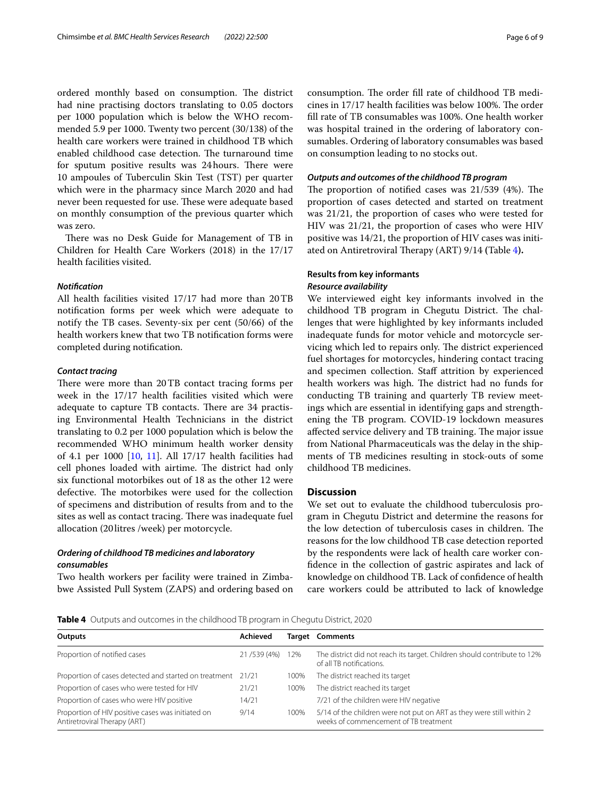ordered monthly based on consumption. The district had nine practising doctors translating to 0.05 doctors per 1000 population which is below the WHO recommended 5.9 per 1000. Twenty two percent (30/138) of the health care workers were trained in childhood TB which enabled childhood case detection. The turnaround time for sputum positive results was 24 hours. There were 10 ampoules of Tuberculin Skin Test (TST) per quarter which were in the pharmacy since March 2020 and had never been requested for use. These were adequate based on monthly consumption of the previous quarter which was zero.

There was no Desk Guide for Management of TB in Children for Health Care Workers (2018) in the 17/17 health facilities visited.

## *Notifcation*

All health facilities visited 17/17 had more than 20TB notifcation forms per week which were adequate to notify the TB cases. Seventy-six per cent (50/66) of the health workers knew that two TB notifcation forms were completed during notifcation.

#### *Contact tracing*

There were more than 20TB contact tracing forms per week in the 17/17 health facilities visited which were adequate to capture TB contacts. There are 34 practising Environmental Health Technicians in the district translating to 0.2 per 1000 population which is below the recommended WHO minimum health worker density of 4.1 per 1000 [\[10](#page-8-9), [11](#page-8-10)]. All 17/17 health facilities had cell phones loaded with airtime. The district had only six functional motorbikes out of 18 as the other 12 were defective. The motorbikes were used for the collection of specimens and distribution of results from and to the sites as well as contact tracing. There was inadequate fuel allocation (20litres /week) per motorcycle.

## *Ordering of childhood TB medicines and laboratory consumables*

Two health workers per facility were trained in Zimbabwe Assisted Pull System (ZAPS) and ordering based on consumption. The order fill rate of childhood TB medicines in 17/17 health facilities was below 100%. The order fll rate of TB consumables was 100%. One health worker was hospital trained in the ordering of laboratory consumables. Ordering of laboratory consumables was based on consumption leading to no stocks out.

## *Outputs and outcomes of the childhood TB program*

The proportion of notified cases was  $21/539$  (4%). The proportion of cases detected and started on treatment was 21/21, the proportion of cases who were tested for HIV was 21/21, the proportion of cases who were HIV positive was 14/21, the proportion of HIV cases was initi-ated on Antiretroviral Therapy (ART) 9/14 (Table [4](#page-5-0)).

# **Results from key informants** *Resource availability*

We interviewed eight key informants involved in the childhood TB program in Chegutu District. The challenges that were highlighted by key informants included inadequate funds for motor vehicle and motorcycle servicing which led to repairs only. The district experienced fuel shortages for motorcycles, hindering contact tracing and specimen collection. Staf attrition by experienced health workers was high. The district had no funds for conducting TB training and quarterly TB review meetings which are essential in identifying gaps and strengthening the TB program. COVID-19 lockdown measures affected service delivery and TB training. The major issue from National Pharmaceuticals was the delay in the shipments of TB medicines resulting in stock-outs of some childhood TB medicines.

## **Discussion**

We set out to evaluate the childhood tuberculosis program in Chegutu District and determine the reasons for the low detection of tuberculosis cases in children. The reasons for the low childhood TB case detection reported by the respondents were lack of health care worker confdence in the collection of gastric aspirates and lack of knowledge on childhood TB. Lack of confdence of health care workers could be attributed to lack of knowledge

<span id="page-5-0"></span>**Table 4** Outputs and outcomes in the childhood TB program in Chegutu District, 2020

| <b>Outputs</b>                                                                    | Achieved    |      | <b>Target Comments</b>                                                                                        |
|-----------------------------------------------------------------------------------|-------------|------|---------------------------------------------------------------------------------------------------------------|
| Proportion of notified cases                                                      | 21/539 (4%) | 12%  | The district did not reach its target. Children should contribute to 12%<br>of all TB notifications.          |
| Proportion of cases detected and started on treatment 21/21                       |             | 100% | The district reached its target                                                                               |
| Proportion of cases who were tested for HIV                                       | 21/21       | 100% | The district reached its target                                                                               |
| Proportion of cases who were HIV positive                                         | 14/21       |      | 7/21 of the children were HIV negative                                                                        |
| Proportion of HIV positive cases was initiated on<br>Antiretroviral Therapy (ART) | 9/14        | 100% | 5/14 of the children were not put on ART as they were still within 2<br>weeks of commencement of TB treatment |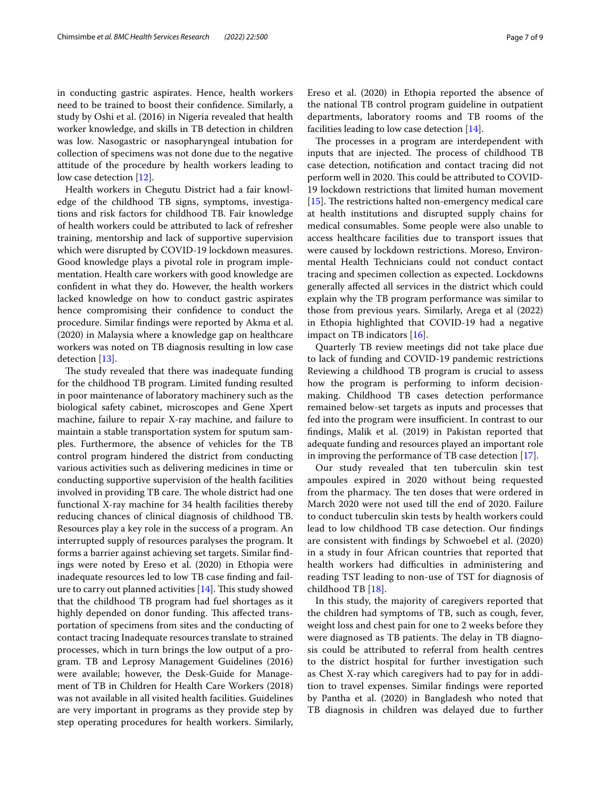in conducting gastric aspirates. Hence, health workers need to be trained to boost their confdence. Similarly, a study by Oshi et al. (2016) in Nigeria revealed that health worker knowledge, and skills in TB detection in children was low. Nasogastric or nasopharyngeal intubation for collection of specimens was not done due to the negative attitude of the procedure by health workers leading to low case detection [\[12](#page-8-11)].

Health workers in Chegutu District had a fair knowledge of the childhood TB signs, symptoms, investigations and risk factors for childhood TB. Fair knowledge of health workers could be attributed to lack of refresher training, mentorship and lack of supportive supervision which were disrupted by COVID-19 lockdown measures. Good knowledge plays a pivotal role in program implementation. Health care workers with good knowledge are confdent in what they do. However, the health workers lacked knowledge on how to conduct gastric aspirates hence compromising their confdence to conduct the procedure. Similar fndings were reported by Akma et al. (2020) in Malaysia where a knowledge gap on healthcare workers was noted on TB diagnosis resulting in low case detection [[13\]](#page-8-12).

The study revealed that there was inadequate funding for the childhood TB program. Limited funding resulted in poor maintenance of laboratory machinery such as the biological safety cabinet, microscopes and Gene Xpert machine, failure to repair X-ray machine, and failure to maintain a stable transportation system for sputum samples. Furthermore, the absence of vehicles for the TB control program hindered the district from conducting various activities such as delivering medicines in time or conducting supportive supervision of the health facilities involved in providing TB care. The whole district had one functional X-ray machine for 34 health facilities thereby reducing chances of clinical diagnosis of childhood TB. Resources play a key role in the success of a program. An interrupted supply of resources paralyses the program. It forms a barrier against achieving set targets. Similar fndings were noted by Ereso et al. (2020) in Ethopia were inadequate resources led to low TB case fnding and failure to carry out planned activities  $[14]$  $[14]$  $[14]$ . This study showed that the childhood TB program had fuel shortages as it highly depended on donor funding. This affected transportation of specimens from sites and the conducting of contact tracing Inadequate resources translate to strained processes, which in turn brings the low output of a program. TB and Leprosy Management Guidelines (2016) were available; however, the Desk-Guide for Management of TB in Children for Health Care Workers (2018) was not available in all visited health facilities. Guidelines are very important in programs as they provide step by step operating procedures for health workers. Similarly, Ereso et al. (2020) in Ethopia reported the absence of the national TB control program guideline in outpatient departments, laboratory rooms and TB rooms of the facilities leading to low case detection [\[14](#page-8-13)].

The processes in a program are interdependent with inputs that are injected. The process of childhood TB case detection, notifcation and contact tracing did not perform well in 2020. This could be attributed to COVID-19 lockdown restrictions that limited human movement [ $15$ ]. The restrictions halted non-emergency medical care at health institutions and disrupted supply chains for medical consumables. Some people were also unable to access healthcare facilities due to transport issues that were caused by lockdown restrictions. Moreso, Environmental Health Technicians could not conduct contact tracing and specimen collection as expected. Lockdowns generally afected all services in the district which could explain why the TB program performance was similar to those from previous years. Similarly, Arega et al (2022) in Ethopia highlighted that COVID-19 had a negative impact on TB indicators [\[16](#page-8-15)].

Quarterly TB review meetings did not take place due to lack of funding and COVID-19 pandemic restrictions Reviewing a childhood TB program is crucial to assess how the program is performing to inform decisionmaking. Childhood TB cases detection performance remained below-set targets as inputs and processes that fed into the program were insufficient. In contrast to our fndings, Malik et al. (2019) in Pakistan reported that adequate funding and resources played an important role in improving the performance of TB case detection [[17\]](#page-8-16).

Our study revealed that ten tuberculin skin test ampoules expired in 2020 without being requested from the pharmacy. The ten doses that were ordered in March 2020 were not used till the end of 2020. Failure to conduct tuberculin skin tests by health workers could lead to low childhood TB case detection. Our fndings are consistent with fndings by Schwoebel et al. (2020) in a study in four African countries that reported that health workers had difficulties in administering and reading TST leading to non-use of TST for diagnosis of childhood TB [[18\]](#page-8-17).

In this study, the majority of caregivers reported that the children had symptoms of TB, such as cough, fever, weight loss and chest pain for one to 2 weeks before they were diagnosed as TB patients. The delay in TB diagnosis could be attributed to referral from health centres to the district hospital for further investigation such as Chest X-ray which caregivers had to pay for in addition to travel expenses. Similar fndings were reported by Pantha et al. (2020) in Bangladesh who noted that TB diagnosis in children was delayed due to further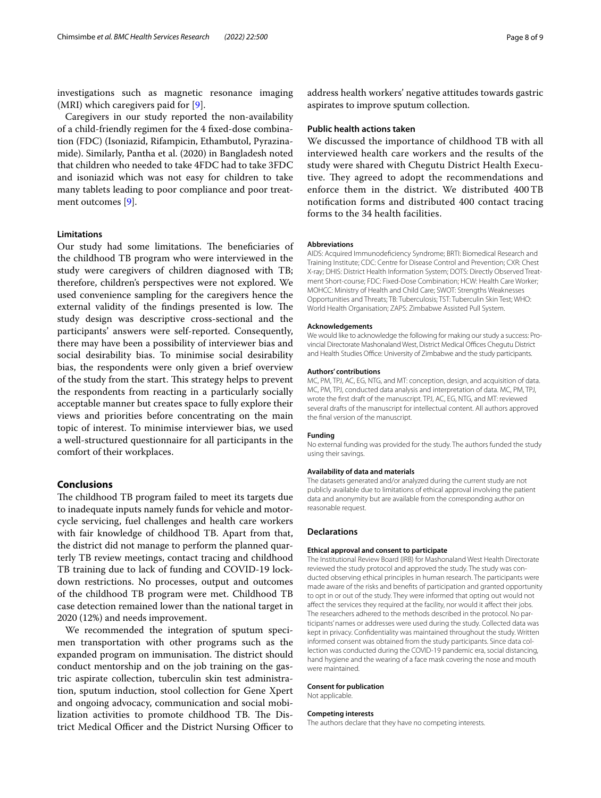investigations such as magnetic resonance imaging (MRI) which caregivers paid for  $[9]$  $[9]$ .

Caregivers in our study reported the non-availability of a child-friendly regimen for the 4 fxed-dose combination (FDC) (Isoniazid, Rifampicin, Ethambutol, Pyrazinamide). Similarly, Pantha et al. (2020) in Bangladesh noted that children who needed to take 4FDC had to take 3FDC and isoniazid which was not easy for children to take many tablets leading to poor compliance and poor treatment outcomes [[9](#page-8-8)].

#### **Limitations**

Our study had some limitations. The beneficiaries of the childhood TB program who were interviewed in the study were caregivers of children diagnosed with TB; therefore, children's perspectives were not explored. We used convenience sampling for the caregivers hence the external validity of the findings presented is low. The study design was descriptive cross-sectional and the participants' answers were self-reported. Consequently, there may have been a possibility of interviewer bias and social desirability bias. To minimise social desirability bias, the respondents were only given a brief overview of the study from the start. This strategy helps to prevent the respondents from reacting in a particularly socially acceptable manner but creates space to fully explore their views and priorities before concentrating on the main topic of interest. To minimise interviewer bias, we used a well-structured questionnaire for all participants in the comfort of their workplaces.

## **Conclusions**

The childhood TB program failed to meet its targets due to inadequate inputs namely funds for vehicle and motorcycle servicing, fuel challenges and health care workers with fair knowledge of childhood TB. Apart from that, the district did not manage to perform the planned quarterly TB review meetings, contact tracing and childhood TB training due to lack of funding and COVID-19 lockdown restrictions. No processes, output and outcomes of the childhood TB program were met. Childhood TB case detection remained lower than the national target in 2020 (12%) and needs improvement.

We recommended the integration of sputum specimen transportation with other programs such as the expanded program on immunisation. The district should conduct mentorship and on the job training on the gastric aspirate collection, tuberculin skin test administration, sputum induction, stool collection for Gene Xpert and ongoing advocacy, communication and social mobilization activities to promote childhood TB. The District Medical Officer and the District Nursing Officer to address health workers' negative attitudes towards gastric aspirates to improve sputum collection.

#### **Public health actions taken**

We discussed the importance of childhood TB with all interviewed health care workers and the results of the study were shared with Chegutu District Health Executive. They agreed to adopt the recommendations and enforce them in the district. We distributed 400TB notifcation forms and distributed 400 contact tracing forms to the 34 health facilities.

#### **Abbreviations**

AIDS: Acquired Immunodefciency Syndrome; BRTI: Biomedical Research and Training Institute; CDC: Centre for Disease Control and Prevention; CXR: Chest X-ray; DHIS: District Health Information System; DOTS: Directly Observed Treatment Short-course; FDC: Fixed-Dose Combination; HCW: Health Care Worker; MOHCC: Ministry of Health and Child Care; SWOT: Strengths Weaknesses Opportunities and Threats; TB: Tuberculosis; TST: Tuberculin Skin Test; WHO: World Health Organisation; ZAPS: Zimbabwe Assisted Pull System.

#### **Acknowledgements**

We would like to acknowledge the following for making our study a success: Provincial Directorate Mashonaland West, District Medical Offices Chegutu District and Health Studies Office: University of Zimbabwe and the study participants.

#### **Authors' contributions**

MC, PM, TPJ, AC, EG, NTG, and MT: conception, design, and acquisition of data. MC, PM, TPJ, conducted data analysis and interpretation of data. MC, PM, TPJ, wrote the frst draft of the manuscript. TPJ, AC, EG, NTG, and MT: reviewed several drafts of the manuscript for intellectual content. All authors approved the fnal version of the manuscript.

#### **Funding**

No external funding was provided for the study. The authors funded the study using their savings.

#### **Availability of data and materials**

The datasets generated and/or analyzed during the current study are not publicly available due to limitations of ethical approval involving the patient data and anonymity but are available from the corresponding author on reasonable request.

## **Declarations**

#### **Ethical approval and consent to participate**

The Institutional Review Board (IRB) for Mashonaland West Health Directorate reviewed the study protocol and approved the study. The study was conducted observing ethical principles in human research. The participants were made aware of the risks and benefts of participation and granted opportunity to opt in or out of the study. They were informed that opting out would not affect the services they required at the facility, nor would it affect their jobs. The researchers adhered to the methods described in the protocol. No participants' names or addresses were used during the study. Collected data was kept in privacy. Confdentiality was maintained throughout the study. Written informed consent was obtained from the study participants. Since data collection was conducted during the COVID-19 pandemic era, social distancing, hand hygiene and the wearing of a face mask covering the nose and mouth were maintained.

## **Consent for publication**

Not applicable.

#### **Competing interests**

The authors declare that they have no competing interests.